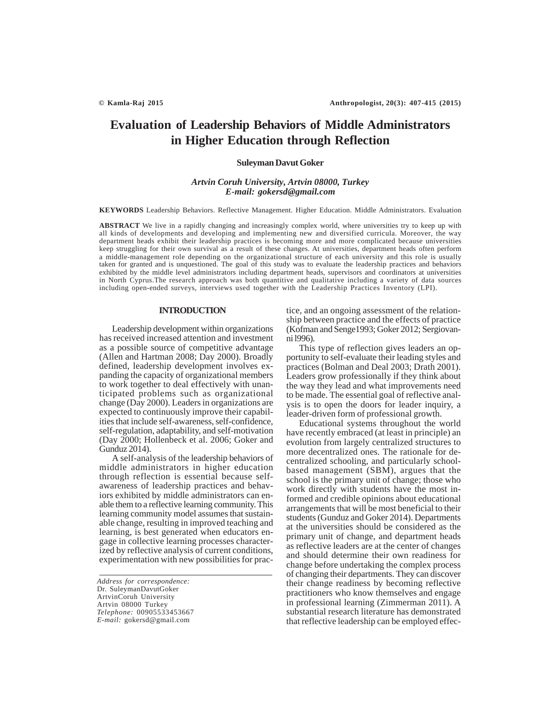# **Evaluation of Leadership Behaviors of Middle Administrators in Higher Education through Reflection**

# **Suleyman Davut Goker**

# *Artvin Coruh University, Artvin 08000, Turkey E-mail: gokersd@gmail.com*

**KEYWORDS** Leadership Behaviors. Reflective Management. Higher Education. Middle Administrators. Evaluation

**ABSTRACT** We live in a rapidly changing and increasingly complex world, where universities try to keep up with all kinds of developments and developing and implementing new and diversified curricula. Moreover, the way department heads exhibit their leadership practices is becoming more and more complicated because universities keep struggling for their own survival as a result of these changes. At universities, department heads often perform a middle-management role depending on the organizational structure of each university and this role is usually taken for granted and is unquestioned. The goal of this study was to evaluate the leadership practices and behaviors exhibited by the middle level administrators including department heads, supervisors and coordinators at universities in North Cyprus.The research approach was both quantitive and qualitative including a variety of data sources including open-ended surveys, interviews used together with the Leadership Practices Inventory (LPI).

# **INTRODUCTION**

Leadership development within organizations has received increased attention and investment as a possible source of competitive advantage (Allen and Hartman 2008; Day 2000). Broadly defined, leadership development involves expanding the capacity of organizational members to work together to deal effectively with unanticipated problems such as organizational change (Day 2000). Leaders in organizations are expected to continuously improve their capabilities that include self-awareness, self-confidence, self-regulation, adaptability, and self-motivation (Day 2000; Hollenbeck et al. 2006; Goker and Gunduz 2014).

A self-analysis of the leadership behaviors of middle administrators in higher education through reflection is essential because selfawareness of leadership practices and behaviors exhibited by middle administrators can enable them to a reflective learning community. This learning community model assumes that sustainable change, resulting in improved teaching and learning, is best generated when educators engage in collective learning processes characterized by reflective analysis of current conditions, experimentation with new possibilities for prac-

*Address for correspondence:* Dr. SuleymanDavutGoker ArtvinCoruh University Artvin 08000 Turkey *Telephone:* 00905533453667 *E-mail:* gokersd@gmail.com

tice, and an ongoing assessment of the relationship between practice and the effects of practice (Kofman and Senge1993; Goker 2012; Sergiovanni l996).

This type of reflection gives leaders an opportunity to self-evaluate their leading styles and practices (Bolman and Deal 2003; Drath 2001). Leaders grow professionally if they think about the way they lead and what improvements need to be made. The essential goal of reflective analysis is to open the doors for leader inquiry, a leader-driven form of professional growth.

Educational systems throughout the world have recently embraced (at least in principle) an evolution from largely centralized structures to more decentralized ones. The rationale for decentralized schooling, and particularly schoolbased management (SBM), argues that the school is the primary unit of change; those who work directly with students have the most informed and credible opinions about educational arrangements that will be most beneficial to their students (Gunduz and Goker 2014). Departments at the universities should be considered as the primary unit of change, and department heads as reflective leaders are at the center of changes and should determine their own readiness for change before undertaking the complex process of changing their departments. They can discover their change readiness by becoming reflective practitioners who know themselves and engage in professional learning (Zimmerman 2011). A substantial research literature has demonstrated that reflective leadership can be employed effec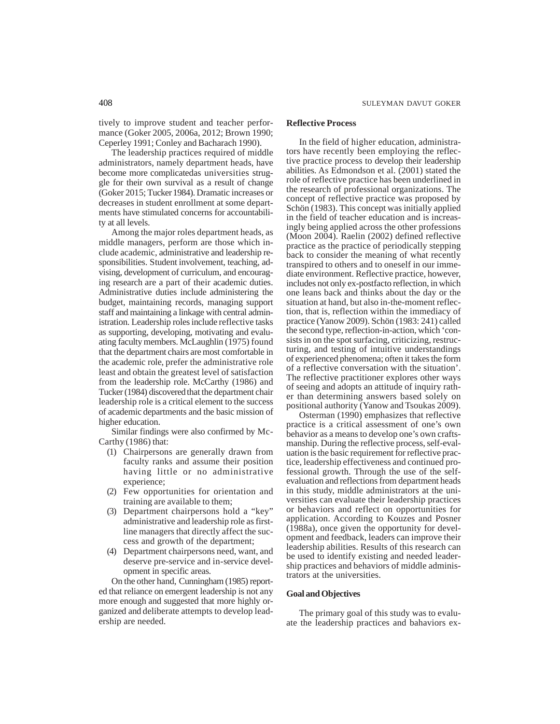tively to improve student and teacher performance (Goker 2005, 2006a, 2012; Brown 1990; Ceperley 1991; Conley and Bacharach 1990).

The leadership practices required of middle administrators, namely department heads, have become more complicatedas universities struggle for their own survival as a result of change (Goker 2015; Tucker 1984). Dramatic increases or decreases in student enrollment at some departments have stimulated concerns for accountability at all levels.

Among the major roles department heads, as middle managers, perform are those which include academic, administrative and leadership responsibilities. Student involvement, teaching, advising, development of curriculum, and encouraging research are a part of their academic duties. Administrative duties include administering the budget, maintaining records, managing support staff and maintaining a linkage with central administration. Leadership roles include reflective tasks as supporting, developing, motivating and evaluating faculty members. McLaughlin (1975) found that the department chairs are most comfortable in the academic role, prefer the administrative role least and obtain the greatest level of satisfaction from the leadership role. McCarthy (1986) and Tucker (1984) discovered that the department chair leadership role is a critical element to the success of academic departments and the basic mission of higher education.

Similar findings were also confirmed by Mc-Carthy (1986) that:

- (1) Chairpersons are generally drawn from faculty ranks and assume their position having little or no administrative experience;
- (2) Few opportunities for orientation and training are available to them;
- (3) Department chairpersons hold a "key" administrative and leadership role as firstline managers that directly affect the success and growth of the department;
- (4) Department chairpersons need, want, and deserve pre-service and in-service development in specific areas.

On the other hand, Cunningham (1985) reported that reliance on emergent leadership is not any more enough and suggested that more highly organized and deliberate attempts to develop leadership are needed.

# **Reflective Process**

In the field of higher education, administrators have recently been employing the reflective practice process to develop their leadership abilities. As Edmondson et al. (2001) stated the role of reflective practice has been underlined in the research of professional organizations. The concept of reflective practice was proposed by Schön (1983). This concept was initially applied in the field of teacher education and is increasingly being applied across the other professions (Moon 2004). Raelin (2002) defined reflective practice as the practice of periodically stepping back to consider the meaning of what recently transpired to others and to oneself in our immediate environment. Reflective practice, however, includes not only ex-postfacto reflection, in which one leans back and thinks about the day or the situation at hand, but also in-the-moment reflection, that is, reflection within the immediacy of practice (Yanow 2009). Schön (1983: 241) called the second type, reflection-in-action, which 'consists in on the spot surfacing, criticizing, restructuring, and testing of intuitive understandings of experienced phenomena; often it takes the form of a reflective conversation with the situation'. The reflective practitioner explores other ways of seeing and adopts an attitude of inquiry rather than determining answers based solely on positional authority (Yanow and Tsoukas 2009).

Osterman (1990) emphasizes that reflective practice is a critical assessment of one's own behavior as a means to develop one's own craftsmanship. During the reflective process, self-evaluation is the basic requirement for reflective practice, leadership effectiveness and continued professional growth. Through the use of the selfevaluation and reflections from department heads in this study, middle administrators at the universities can evaluate their leadership practices or behaviors and reflect on opportunities for application. According to Kouzes and Posner (1988a), once given the opportunity for development and feedback, leaders can improve their leadership abilities. Results of this research can be used to identify existing and needed leadership practices and behaviors of middle administrators at the universities.

# **Goal and Objectives**

The primary goal of this study was to evaluate the leadership practices and bahaviors ex-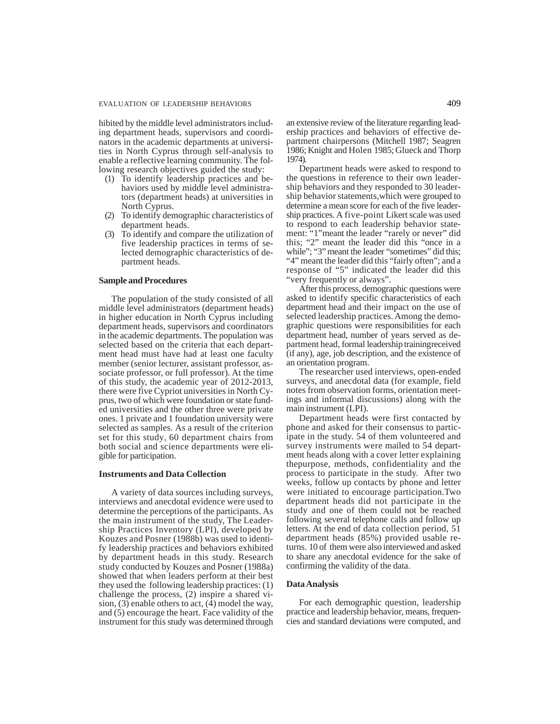hibited by the middle level administrators including department heads, supervisors and coordinators in the academic departments at universities in North Cyprus through self-analysis to enable a reflective learning community. The following research objectives guided the study:

- (1) To identify leadership practices and behaviors used by middle level administrators (department heads) at universities in North Cyprus.
- (2) To identify demographic characteristics of department heads.
- (3) To identify and compare the utilization of five leadership practices in terms of selected demographic characteristics of department heads.

# **Sample and Procedures**

The population of the study consisted of all middle level administrators (department heads) in higher education in North Cyprus including department heads, supervisors and coordinators in the academic departments. The population was selected based on the criteria that each department head must have had at least one faculty member (senior lecturer, assistant professor, associate professor, or full professor). At the time of this study, the academic year of 2012-2013, there were five Cypriot universities in North Cyprus, two of which were foundation or state funded universities and the other three were private ones. 1 private and 1 foundation university were selected as samples. As a result of the criterion set for this study, 60 department chairs from both social and science departments were eligible for participation.

#### **Instruments and Data Collection**

A variety of data sources including surveys, interviews and anecdotal evidence were used to determine the perceptions of the participants. As the main instrument of the study, The Leadership Practices Inventory (LPI), developed by Kouzes and Posner (1988b) was used to identify leadership practices and behaviors exhibited by department heads in this study. Research study conducted by Kouzes and Posner (1988a) showed that when leaders perform at their best they used the following leadership practices: (1) challenge the process, (2) inspire a shared vision, (3) enable others to act, (4) model the way, and (5) encourage the heart. Face validity of the instrument for this study was determined through

an extensive review of the literature regarding leadership practices and behaviors of effective department chairpersons (Mitchell 1987; Seagren 1986; Knight and Holen 1985; Glueck and Thorp 1974).

Department heads were asked to respond to the questions in reference to their own leadership behaviors and they responded to 30 leadership behavior statements,which were grouped to determine a mean score for each of the five leadership practices. A five-point Likert scale was used to respond to each leadership behavior statement: "1"meant the leader "rarely or never" did this; "2" meant the leader did this "once in a while"; "3" meant the leader "sometimes" did this; "4" meant the leader did this "fairly often"; and a response of "5" indicated the leader did this "very frequently or always".

After this process, demographic questions were asked to identify specific characteristics of each department head and their impact on the use of selected leadership practices. Among the demographic questions were responsibilities for each department head, number of years served as department head, formal leadership trainingreceived (if any), age, job description, and the existence of an orientation program.

The researcher used interviews, open-ended surveys, and anecdotal data (for example, field notes from observation forms, orientation meetings and informal discussions) along with the main instrument (LPI).

Department heads were first contacted by phone and asked for their consensus to participate in the study. 54 of them volunteered and survey instruments were mailed to 54 department heads along with a cover letter explaining thepurpose, methods, confidentiality and the process to participate in the study. After two weeks, follow up contacts by phone and letter were initiated to encourage participation.Two department heads did not participate in the study and one of them could not be reached following several telephone calls and follow up letters. At the end of data collection period, 51 department heads (85%) provided usable returns. 10 of them were also interviewed and asked to share any anecdotal evidence for the sake of confirming the validity of the data.

# **Data Analysis**

For each demographic question, leadership practice and leadership behavior, means, frequencies and standard deviations were computed, and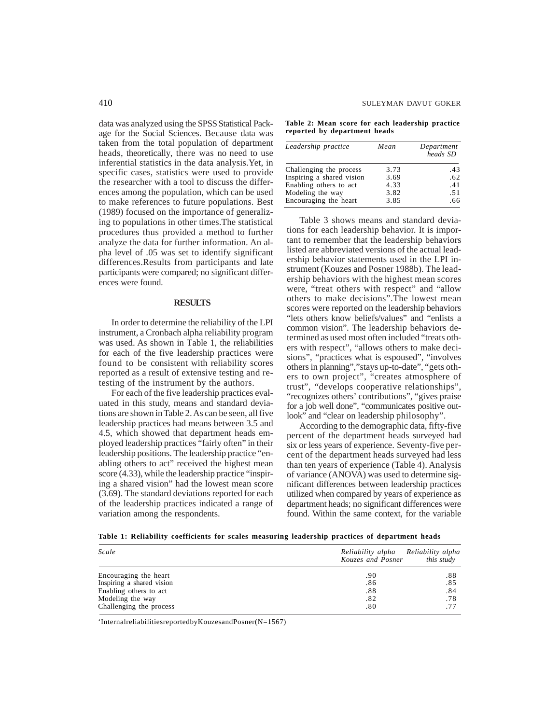data was analyzed using the SPSS Statistical Package for the Social Sciences. Because data was taken from the total population of department heads, theoretically, there was no need to use inferential statistics in the data analysis.Yet, in specific cases, statistics were used to provide the researcher with a tool to discuss the differences among the population, which can be used to make references to future populations. Best (1989) focused on the importance of generalizing to populations in other times.The statistical procedures thus provided a method to further analyze the data for further information. An alpha level of .05 was set to identify significant differences.Results from participants and late participants were compared; no significant differences were found.

# **RESULTS**

In order to determine the reliability of the LPI instrument, a Cronbach alpha reliability program was used. As shown in Table 1, the reliabilities for each of the five leadership practices were found to be consistent with reliability scores reported as a result of extensive testing and retesting of the instrument by the authors.

For each of the five leadership practices evaluated in this study, means and standard deviations are shown in Table 2. As can be seen, all five leadership practices had means between 3.5 and 4.5, which showed that department heads employed leadership practices "fairly often" in their leadership positions. The leadership practice "enabling others to act" received the highest mean score (4.33), while the leadership practice "inspiring a shared vision" had the lowest mean score (3.69). The standard deviations reported for each of the leadership practices indicated a range of variation among the respondents.

**Table 2: Mean score for each leadership practice reported by department heads**

| Leadership practice       | Mean | Department<br>heads SD |  |
|---------------------------|------|------------------------|--|
| Challenging the process   | 3.73 | .43                    |  |
| Inspiring a shared vision | 3.69 | .62                    |  |
| Enabling others to act    | 4.33 | .41                    |  |
| Modeling the way          | 3.82 | .51                    |  |
| Encouraging the heart     | 3.85 | .66                    |  |

Table 3 shows means and standard deviations for each leadership behavior. It is important to remember that the leadership behaviors listed are abbreviated versions of the actual leadership behavior statements used in the LPI instrument (Kouzes and Posner 1988b). The leadership behaviors with the highest mean scores were, "treat others with respect" and "allow others to make decisions".The lowest mean scores were reported on the leadership behaviors "lets others know beliefs/values" and "enlists a common vision". The leadership behaviors determined as used most often included "treats others with respect", "allows others to make decisions", "practices what is espoused", "involves others in planning","stays up-to-date", "gets others to own project", "creates atmosphere of trust", "develops cooperative relationships", "recognizes others' contributions", "gives praise for a job well done", "communicates positive outlook" and "clear on leadership philosophy".

According to the demographic data, fifty-five percent of the department heads surveyed had six or less years of experience. Seventy-five percent of the department heads surveyed had less than ten years of experience (Table 4). Analysis of variance (ANOVA) was used to determine significant differences between leadership practices utilized when compared by years of experience as department heads; no significant differences were found. Within the same context, for the variable

**Table 1: Reliability coefficients for scales measuring leadership practices of department heads**

| Scale                     | Reliability alpha Reliability alpha<br>Kouzes and Posner | <i>this study</i> |  |
|---------------------------|----------------------------------------------------------|-------------------|--|
| Encouraging the heart     | .90                                                      | .88               |  |
| Inspiring a shared vision | .86                                                      | .85               |  |
| Enabling others to act    | .88                                                      | .84               |  |
| Modeling the way          | .82                                                      | .78               |  |
| Challenging the process   | .80                                                      | .77               |  |

'InternalreliabilitiesreportedbyKouzesandPosner(N=1567)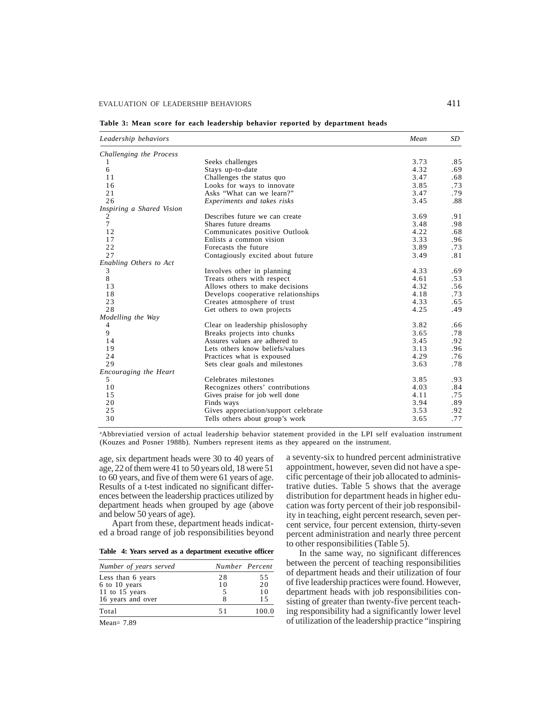# EVALUATION OF LEADERSHIP BEHAVIORS 411

|  |  | Table 3: Mean score for each leadership behavior reported by department heads |
|--|--|-------------------------------------------------------------------------------|
|--|--|-------------------------------------------------------------------------------|

| Leadership behaviors      |                                      | Mean | SD  |
|---------------------------|--------------------------------------|------|-----|
| Challenging the Process   |                                      |      |     |
| $\mathbf{I}$              | Seeks challenges                     | 3.73 | .85 |
| 6                         | Stays up-to-date                     | 4.32 | .69 |
| 11                        | Challenges the status quo            | 3.47 | .68 |
| 16                        | Looks for ways to innovate           | 3.85 | .73 |
| 21                        | Asks "What can we learn?"            | 3.47 | .79 |
| 26                        | Experiments and takes risks          | 3.45 | .88 |
| Inspiring a Shared Vision |                                      |      |     |
| 2                         | Describes future we can create       | 3.69 | .91 |
| 7                         | Shares future dreams                 | 3.48 | .98 |
| 12                        | Communicates positive Outlook        | 4.22 | .68 |
| 17                        | Enlists a common vision              | 3.33 | .96 |
| 22                        | Forecasts the future                 | 3.89 | .73 |
| 27                        | Contagiously excited about future    | 3.49 | .81 |
| Enabling Others to Act    |                                      |      |     |
| 3                         | Involves other in planning           | 4.33 | .69 |
| 8                         | Treats others with respect           | 4.61 | .53 |
| 13                        | Allows others to make decisions      | 4.32 | .56 |
| 18                        | Develops cooperative relationships   | 4.18 | .73 |
| 23                        | Creates atmosphere of trust          | 4.33 | .65 |
| 28                        | Get others to own projects           | 4.25 | .49 |
| Modelling the Way         |                                      |      |     |
| 4                         | Clear on leadership phislosophy      | 3.82 | .66 |
| 9                         | Breaks projects into chunks          | 3.65 | .78 |
| 14                        | Assures values are adhered to        | 3.45 | .92 |
| 19                        | Lets others know beliefs/values      | 3.13 | .96 |
| 24                        | Practices what is expoused           | 4.29 | .76 |
| 29                        | Sets clear goals and milestones      | 3.63 | .78 |
| Encouraging the Heart     |                                      |      |     |
| 5                         | Celebrates milestones                | 3.85 | .93 |
| 10                        | Recognizes others' contributions     | 4.03 | .84 |
| 15                        | Gives praise for job well done       | 4.11 | .75 |
| 20                        | Finds ways                           | 3.94 | .89 |
| 25                        | Gives appreciation/support celebrate | 3.53 | .92 |
| 30                        | Tells others about group's work      | 3.65 | .77 |
|                           |                                      |      |     |

a Abbreviatied version of actual leadership behavior statement provided in the LPI self evaluation instrument (Kouzes and Posner 1988b). Numbers represent items as they appeared on the instrument.

age, six department heads were 30 to 40 years of age, 22 of them were 41 to 50 years old, 18 were 51 to 60 years, and five of them were 61 years of age. Results of a t-test indicated no significant differences between the leadership practices utilized by department heads when grouped by age (above and below 50 years of age).

Apart from these, department heads indicated a broad range of job responsibilities beyond

**Table 4: Years served as a department executive officer**

| Number of years served | Number Percent |       |
|------------------------|----------------|-------|
| Less than 6 years      | 28             | 55    |
| 6 to 10 years          | 10             | 20    |
| 11 to 15 years         | -5             | 10    |
| 16 years and over      |                | 1.5   |
| Total                  | -51            | 100.0 |

Mean= 7.89

a seventy-six to hundred percent administrative appointment, however, seven did not have a specific percentage of their job allocated to administrative duties. Table 5 shows that the average distribution for department heads in higher education was forty percent of their job responsibility in teaching, eight percent research, seven percent service, four percent extension, thirty-seven percent administration and nearly three percent to other responsibilities (Table 5).

In the same way, no significant differences between the percent of teaching responsibilities of department heads and their utilization of four of five leadership practices were found. However, department heads with job responsibilities consisting of greater than twenty-five percent teaching responsibility had a significantly lower level of utilization of the leadership practice "inspiring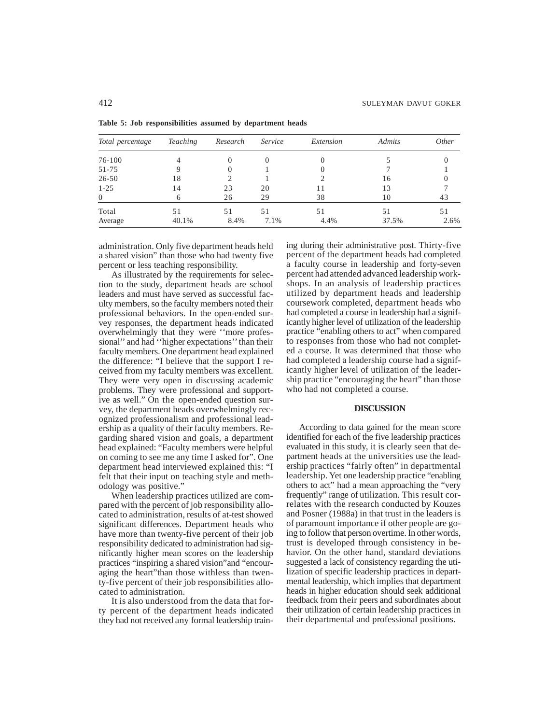| Total percentage | Teaching | Research | Service | Extension | Admits | Other |
|------------------|----------|----------|---------|-----------|--------|-------|
| 76-100           | 4        |          |         |           |        |       |
| $51 - 75$        |          |          |         | O         |        |       |
| $26 - 50$        | 18       |          |         |           | 16     |       |
| $1 - 25$         | 14       | 23       | 20      | ΙI        | 13     |       |
| $\overline{0}$   | 6        | 26       | 29      | 38        | 10     | 43    |
| Total            | 51       | 51       | 51      | 51        | 51     | 51    |
| Average          | 40.1%    | 8.4%     | 7.1%    | 4.4%      | 37.5%  | 2.6%  |

**Table 5: Job responsibilities assumed by department heads**

administration. Only five department heads held a shared vision" than those who had twenty five percent or less teaching responsibility.

As illustrated by the requirements for selection to the study, department heads are school leaders and must have served as successful faculty members, so the faculty members noted their professional behaviors. In the open-ended survey responses, the department heads indicated overwhelmingly that they were ''more professional'' and had ''higher expectations'' than their faculty members. One department head explained the difference: "I believe that the support I received from my faculty members was excellent. They were very open in discussing academic problems. They were professional and supportive as well." On the open-ended question survey, the department heads overwhelmingly recognized professionalism and professional leadership as a quality of their faculty members. Regarding shared vision and goals, a department head explained: "Faculty members were helpful on coming to see me any time I asked for". One department head interviewed explained this: "I felt that their input on teaching style and methodology was positive."

When leadership practices utilized are compared with the percent of job responsibility allocated to administration, results of at-test showed significant differences. Department heads who have more than twenty-five percent of their job responsibility dedicated to administration had significantly higher mean scores on the leadership practices "inspiring a shared vision"and "encouraging the heart"than those withless than twenty-five percent of their job responsibilities allocated to administration.

It is also understood from the data that forty percent of the department heads indicated they had not received any formal leadership training during their administrative post. Thirty-five percent of the department heads had completed a faculty course in leadership and forty-seven percent had attended advanced leadership workshops. In an analysis of leadership practices utilized by department heads and leadership coursework completed, department heads who had completed a course in leadership had a significantly higher level of utilization of the leadership practice "enabling others to act" when compared to responses from those who had not completed a course. It was determined that those who had completed a leadership course had a significantly higher level of utilization of the leadership practice "encouraging the heart" than those who had not completed a course.

# **DISCUSSION**

According to data gained for the mean score identified for each of the five leadership practices evaluated in this study, it is clearly seen that department heads at the universities use the leadership practices "fairly often" in departmental leadership. Yet one leadership practice "enabling others to act" had a mean approaching the "very frequently" range of utilization. This result correlates with the research conducted by Kouzes and Posner (1988a) in that trust in the leaders is of paramount importance if other people are going to follow that person overtime. In other words, trust is developed through consistency in behavior. On the other hand, standard deviations suggested a lack of consistency regarding the utilization of specific leadership practices in departmental leadership, which implies that department heads in higher education should seek additional feedback from their peers and subordinates about their utilization of certain leadership practices in their departmental and professional positions.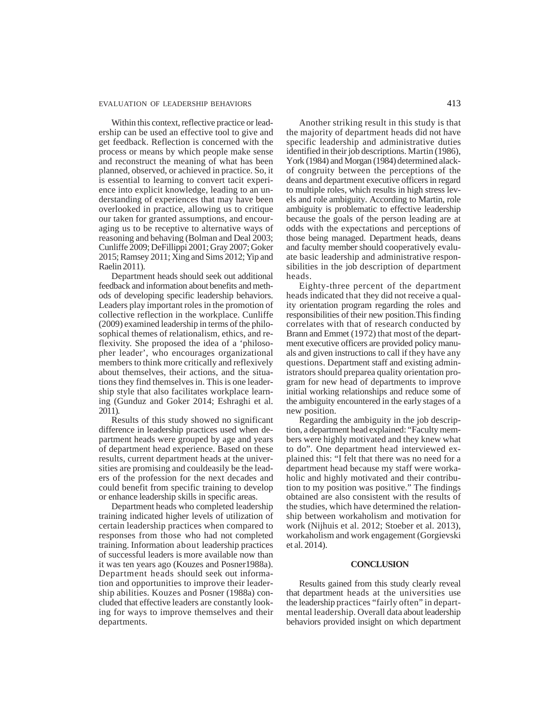#### EVALUATION OF LEADERSHIP BEHAVIORS 413

Within this context, reflective practice or leadership can be used an effective tool to give and get feedback. Reflection is concerned with the process or means by which people make sense and reconstruct the meaning of what has been planned, observed, or achieved in practice. So, it is essential to learning to convert tacit experience into explicit knowledge, leading to an understanding of experiences that may have been overlooked in practice, allowing us to critique our taken for granted assumptions, and encouraging us to be receptive to alternative ways of reasoning and behaving (Bolman and Deal 2003; Cunliffe 2009; DeFillippi 2001; Gray 2007; Goker 2015; Ramsey 2011; Xing and Sims 2012; Yip and Raelin 2011).

Department heads should seek out additional feedback and information about benefits and methods of developing specific leadership behaviors. Leaders play important roles in the promotion of collective reflection in the workplace. Cunliffe (2009) examined leadership in terms of the philosophical themes of relationalism, ethics, and reflexivity. She proposed the idea of a 'philosopher leader', who encourages organizational members to think more critically and reflexively about themselves, their actions, and the situations they find themselves in. This is one leadership style that also facilitates workplace learning (Gunduz and Goker 2014; Eshraghi et al. 2011).

Results of this study showed no significant difference in leadership practices used when department heads were grouped by age and years of department head experience. Based on these results, current department heads at the universities are promising and couldeasily be the leaders of the profession for the next decades and could benefit from specific training to develop or enhance leadership skills in specific areas.

Department heads who completed leadership training indicated higher levels of utilization of certain leadership practices when compared to responses from those who had not completed training. Information about leadership practices of successful leaders is more available now than it was ten years ago (Kouzes and Posner1988a). Department heads should seek out information and opportunities to improve their leadership abilities. Kouzes and Posner (1988a) concluded that effective leaders are constantly looking for ways to improve themselves and their departments.

Another striking result in this study is that the majority of department heads did not have specific leadership and administrative duties identified in their job descriptions. Martin (1986), York (1984) and Morgan (1984) determined alackof congruity between the perceptions of the deans and department executive officers in regard to multiple roles, which results in high stress levels and role ambiguity. According to Martin, role ambiguity is problematic to effective leadership because the goals of the person leading are at odds with the expectations and perceptions of those being managed. Department heads, deans and faculty member should cooperatively evaluate basic leadership and administrative responsibilities in the job description of department heads.

Eighty-three percent of the department heads indicated that they did not receive a quality orientation program regarding the roles and responsibilities of their new position.This finding correlates with that of research conducted by Brann and Emmet (1972) that most of the department executive officers are provided policy manuals and given instructions to call if they have any questions. Department staff and existing administrators should preparea quality orientation program for new head of departments to improve initial working relationships and reduce some of the ambiguity encountered in the early stages of a new position.

Regarding the ambiguity in the job description, a department head explained: "Faculty members were highly motivated and they knew what to do". One department head interviewed explained this: "I felt that there was no need for a department head because my staff were workaholic and highly motivated and their contribution to my position was positive." The findings obtained are also consistent with the results of the studies, which have determined the relationship between workaholism and motivation for work (Nijhuis et al. 2012; Stoeber et al. 2013), workaholism and work engagement (Gorgievski et al. 2014).

#### **CONCLUSION**

Results gained from this study clearly reveal that department heads at the universities use the leadership practices "fairly often" in departmental leadership. Overall data about leadership behaviors provided insight on which department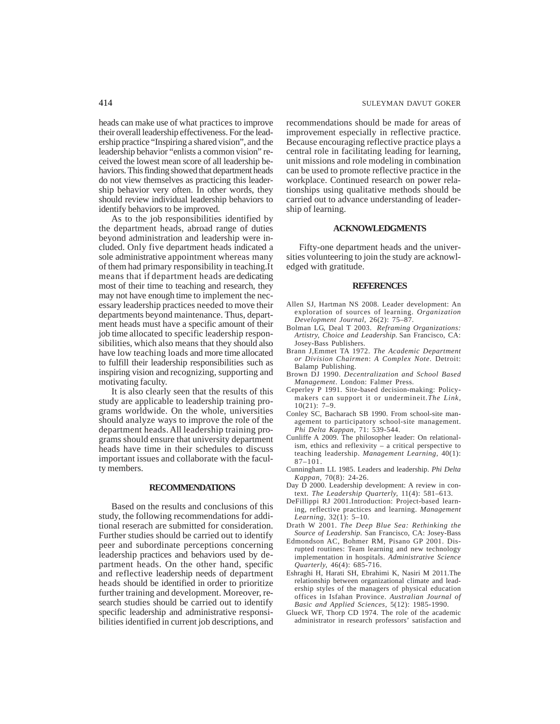heads can make use of what practices to improve their overall leadership effectiveness. For the leadership practice "Inspiring a shared vision", and the leadership behavior "enlists a common vision" received the lowest mean score of all leadership behaviors. This finding showed that department heads do not view themselves as practicing this leadership behavior very often. In other words, they should review individual leadership behaviors to identify behaviors to be improved.

As to the job responsibilities identified by the department heads, abroad range of duties beyond administration and leadership were included. Only five department heads indicated a sole administrative appointment whereas many of them had primary responsibility in teaching.It means that if department heads are dedicating most of their time to teaching and research, they may not have enough time to implement the necessary leadership practices needed to move their departments beyond maintenance. Thus, department heads must have a specific amount of their job time allocated to specific leadership responsibilities, which also means that they should also have low teaching loads and more time allocated to fulfill their leadership responsibilities such as inspiring vision and recognizing, supporting and motivating faculty.

It is also clearly seen that the results of this study are applicable to leadership training programs worldwide. On the whole, universities should analyze ways to improve the role of the department heads. All leadership training programs should ensure that university department heads have time in their schedules to discuss important issues and collaborate with the faculty members.

#### **RECOMMENDATIONS**

Based on the results and conclusions of this study, the following recommendations for additional reserach are submitted for consideration. Further studies should be carried out to identify peer and subordinate perceptions concerning leadership practices and behaviors used by department heads. On the other hand, specific and reflective leadership needs of department heads should be identified in order to prioritize further training and development. Moreover, research studies should be carried out to identify specific leadership and administrative responsibilities identified in current job descriptions, and recommendations should be made for areas of improvement especially in reflective practice. Because encouraging reflective practice plays a central role in facilitating leading for learning, unit missions and role modeling in combination can be used to promote reflective practice in the workplace. Continued research on power relationships using qualitative methods should be carried out to advance understanding of leadership of learning.

# **ACKNOWLEDGMENTS**

Fifty-one department heads and the universities volunteering to join the study are acknowledged with gratitude.

# **REFERENCES**

- Allen SJ, Hartman NS 2008. Leader development: An exploration of sources of learning. *Organization Development Journal,* 26(2): 75–87.
- Bolman LG, Deal T 2003. *Reframing Organizations: Artistry, Choice and Leadership.* San Francisco, CA: Josey-Bass Publishers.
- Brann J,Emmet TA 1972. *The Academic Department or Division Chairmen*: *A Complex Note.* Detroit: Balamp Publishing.
- Brown DJ 1990. *Decentralization and School Based Management*. London: Falmer Press.
- Ceperley P 1991. Site-based decision-making: Policymakers can support it or undermineit.*The Link,* 10(21): 7–9.
- Conley SC, Bacharach SB 1990. From school-site management to participatory school-site management. *Phi Delta Kappan,* 71: 539-544.
- Cunliffe A 2009. The philosopher leader: On relationalism, ethics and reflexivity – a critical perspective to teaching leadership. *Management Learning,* 40(1):  $87-101$ .
- Cunningham LL 1985. Leaders and leadership. *Phi Delta Kappan,* 70(8): 24-26.
- Day D 2000. Leadership development: A review in context. *The Leadership Quarterly,* 11(4): 581–613.
- DeFillippi RJ 2001.Introduction: Project-based learning, reflective practices and learning. *Management Learning,* 32(1): 5–10.
- Drath W 2001. *The Deep Blue Sea: Rethinking the Source of Leadership*. San Francisco, CA: Josey-Bass
- Edmondson AC, Bohmer RM, Pisano GP 2001. Disrupted routines: Team learning and new technology implementation in hospitals. *Administrative Science Quarterly,* 46(4): 685-716.
- Eshraghi H, Harati SH, Ebrahimi K, Nasiri M 2011.The relationship between organizational climate and leadership styles of the managers of physical education offices in Isfahan Province. *Australian Journal of Basic and Applied Sciences,* 5(12): 1985-1990.
- Glueck WF, Thorp CD 1974. The role of the academic administrator in research professors' satisfaction and